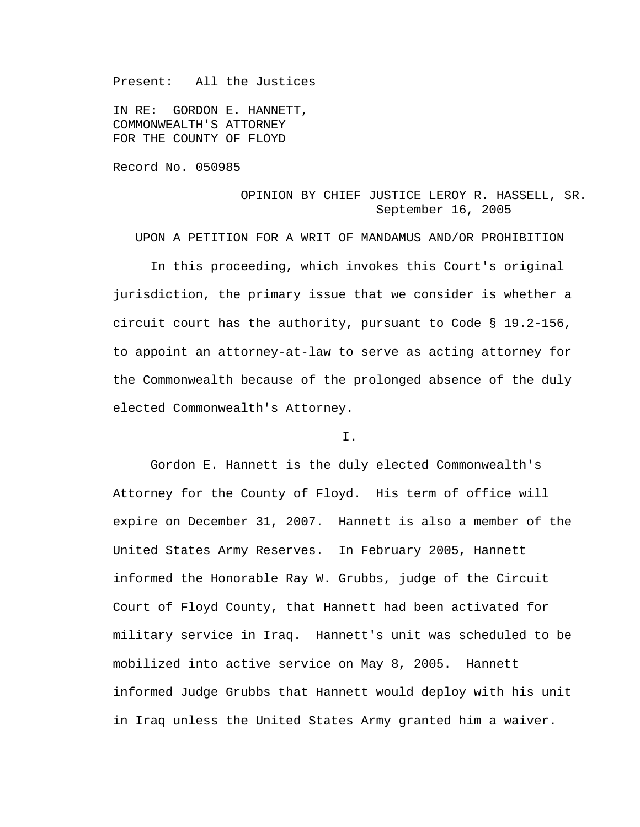Present: All the Justices

IN RE: GORDON E. HANNETT, COMMONWEALTH'S ATTORNEY FOR THE COUNTY OF FLOYD

Record No. 050985

# OPINION BY CHIEF JUSTICE LEROY R. HASSELL, SR. September 16, 2005

UPON A PETITION FOR A WRIT OF MANDAMUS AND/OR PROHIBITION

 In this proceeding, which invokes this Court's original jurisdiction, the primary issue that we consider is whether a circuit court has the authority, pursuant to Code § 19.2-156, to appoint an attorney-at-law to serve as acting attorney for the Commonwealth because of the prolonged absence of the duly elected Commonwealth's Attorney.

## I.

 Gordon E. Hannett is the duly elected Commonwealth's Attorney for the County of Floyd. His term of office will expire on December 31, 2007. Hannett is also a member of the United States Army Reserves. In February 2005, Hannett informed the Honorable Ray W. Grubbs, judge of the Circuit Court of Floyd County, that Hannett had been activated for military service in Iraq. Hannett's unit was scheduled to be mobilized into active service on May 8, 2005. Hannett informed Judge Grubbs that Hannett would deploy with his unit in Iraq unless the United States Army granted him a waiver.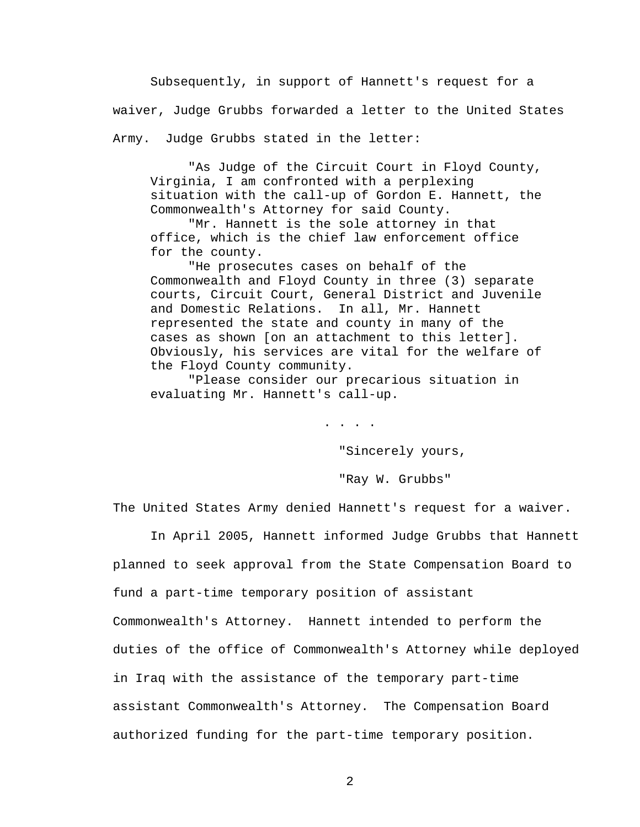Subsequently, in support of Hannett's request for a waiver, Judge Grubbs forwarded a letter to the United States Army. Judge Grubbs stated in the letter:

 "As Judge of the Circuit Court in Floyd County, Virginia, I am confronted with a perplexing situation with the call-up of Gordon E. Hannett, the Commonwealth's Attorney for said County.

 "Mr. Hannett is the sole attorney in that office, which is the chief law enforcement office for the county.

 "He prosecutes cases on behalf of the Commonwealth and Floyd County in three (3) separate courts, Circuit Court, General District and Juvenile and Domestic Relations. In all, Mr. Hannett represented the state and county in many of the cases as shown [on an attachment to this letter]. Obviously, his services are vital for the welfare of the Floyd County community.

 "Please consider our precarious situation in evaluating Mr. Hannett's call-up.

. . . .

"Sincerely yours,

"Ray W. Grubbs"

The United States Army denied Hannett's request for a waiver.

 In April 2005, Hannett informed Judge Grubbs that Hannett planned to seek approval from the State Compensation Board to fund a part-time temporary position of assistant Commonwealth's Attorney. Hannett intended to perform the duties of the office of Commonwealth's Attorney while deployed in Iraq with the assistance of the temporary part-time assistant Commonwealth's Attorney. The Compensation Board authorized funding for the part-time temporary position.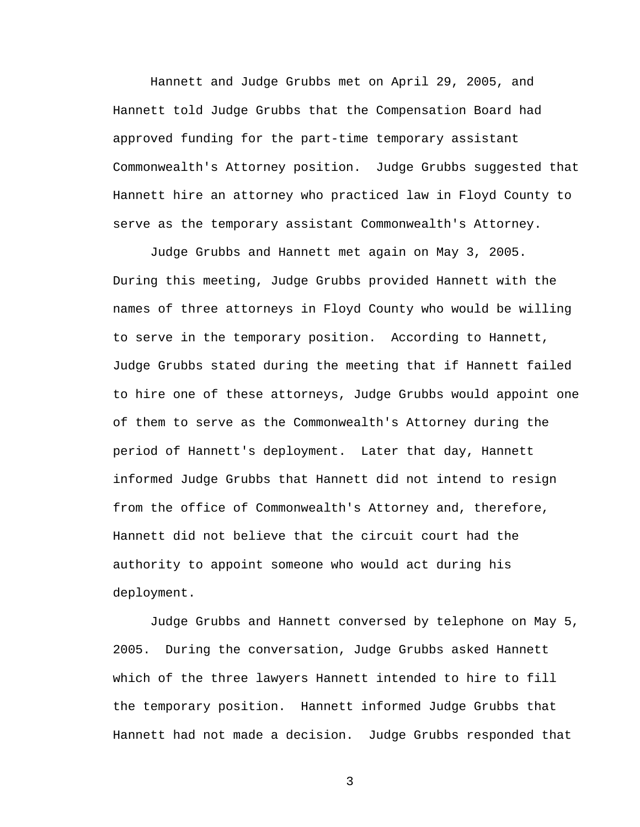Hannett and Judge Grubbs met on April 29, 2005, and Hannett told Judge Grubbs that the Compensation Board had approved funding for the part-time temporary assistant Commonwealth's Attorney position. Judge Grubbs suggested that Hannett hire an attorney who practiced law in Floyd County to serve as the temporary assistant Commonwealth's Attorney.

 Judge Grubbs and Hannett met again on May 3, 2005. During this meeting, Judge Grubbs provided Hannett with the names of three attorneys in Floyd County who would be willing to serve in the temporary position. According to Hannett, Judge Grubbs stated during the meeting that if Hannett failed to hire one of these attorneys, Judge Grubbs would appoint one of them to serve as the Commonwealth's Attorney during the period of Hannett's deployment. Later that day, Hannett informed Judge Grubbs that Hannett did not intend to resign from the office of Commonwealth's Attorney and, therefore, Hannett did not believe that the circuit court had the authority to appoint someone who would act during his deployment.

 Judge Grubbs and Hannett conversed by telephone on May 5, 2005. During the conversation, Judge Grubbs asked Hannett which of the three lawyers Hannett intended to hire to fill the temporary position. Hannett informed Judge Grubbs that Hannett had not made a decision. Judge Grubbs responded that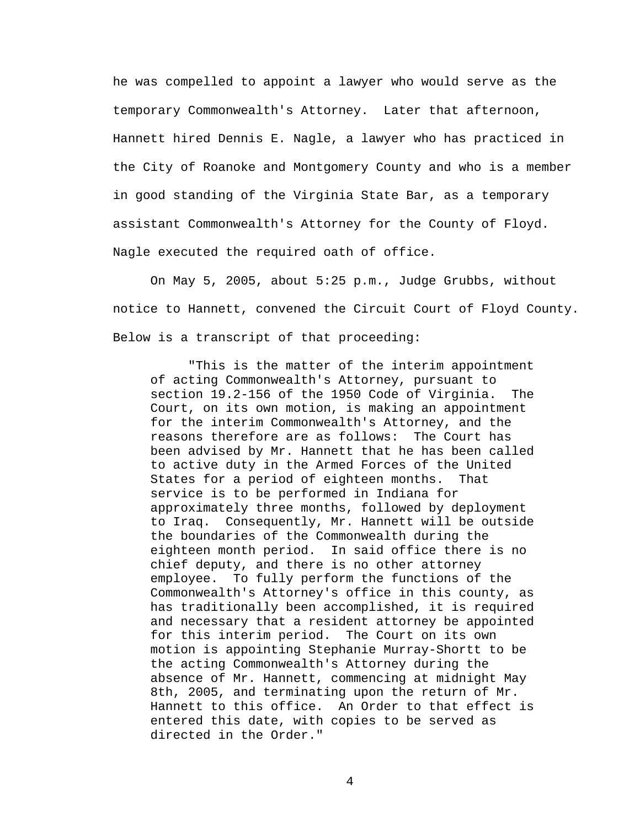he was compelled to appoint a lawyer who would serve as the temporary Commonwealth's Attorney. Later that afternoon, Hannett hired Dennis E. Nagle, a lawyer who has practiced in the City of Roanoke and Montgomery County and who is a member in good standing of the Virginia State Bar, as a temporary assistant Commonwealth's Attorney for the County of Floyd. Nagle executed the required oath of office.

 On May 5, 2005, about 5:25 p.m., Judge Grubbs, without notice to Hannett, convened the Circuit Court of Floyd County. Below is a transcript of that proceeding:

 "This is the matter of the interim appointment of acting Commonwealth's Attorney, pursuant to section 19.2-156 of the 1950 Code of Virginia. The Court, on its own motion, is making an appointment for the interim Commonwealth's Attorney, and the reasons therefore are as follows: The Court has been advised by Mr. Hannett that he has been called to active duty in the Armed Forces of the United States for a period of eighteen months. That service is to be performed in Indiana for approximately three months, followed by deployment to Iraq. Consequently, Mr. Hannett will be outside the boundaries of the Commonwealth during the eighteen month period. In said office there is no chief deputy, and there is no other attorney employee. To fully perform the functions of the Commonwealth's Attorney's office in this county, as has traditionally been accomplished, it is required and necessary that a resident attorney be appointed for this interim period. The Court on its own motion is appointing Stephanie Murray-Shortt to be the acting Commonwealth's Attorney during the absence of Mr. Hannett, commencing at midnight May 8th, 2005, and terminating upon the return of Mr. Hannett to this office. An Order to that effect is entered this date, with copies to be served as directed in the Order."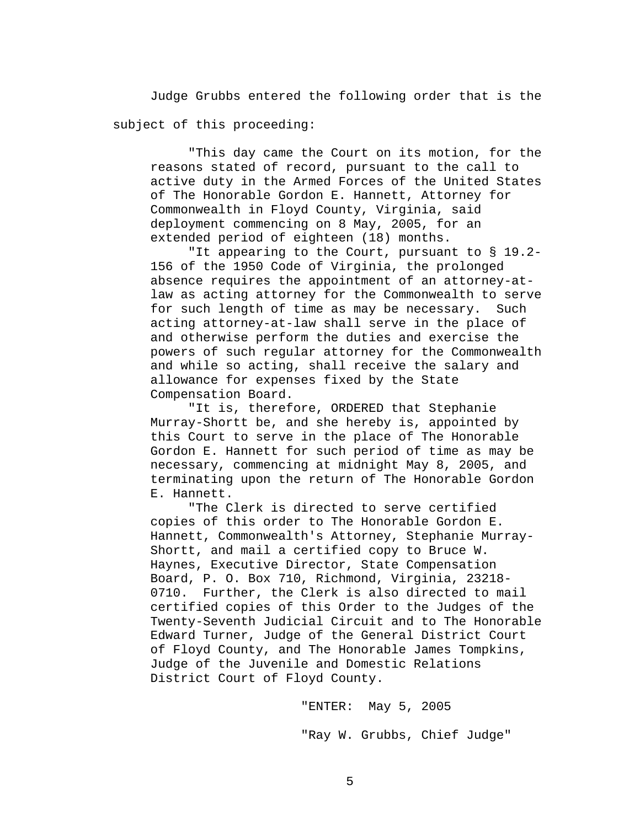Judge Grubbs entered the following order that is the subject of this proceeding:

 "This day came the Court on its motion, for the reasons stated of record, pursuant to the call to active duty in the Armed Forces of the United States of The Honorable Gordon E. Hannett, Attorney for Commonwealth in Floyd County, Virginia, said deployment commencing on 8 May, 2005, for an extended period of eighteen (18) months.

 "It appearing to the Court, pursuant to § 19.2- 156 of the 1950 Code of Virginia, the prolonged absence requires the appointment of an attorney-atlaw as acting attorney for the Commonwealth to serve for such length of time as may be necessary. Such acting attorney-at-law shall serve in the place of and otherwise perform the duties and exercise the powers of such regular attorney for the Commonwealth and while so acting, shall receive the salary and allowance for expenses fixed by the State Compensation Board.

 "It is, therefore, ORDERED that Stephanie Murray-Shortt be, and she hereby is, appointed by this Court to serve in the place of The Honorable Gordon E. Hannett for such period of time as may be necessary, commencing at midnight May 8, 2005, and terminating upon the return of The Honorable Gordon E. Hannett.

 "The Clerk is directed to serve certified copies of this order to The Honorable Gordon E. Hannett, Commonwealth's Attorney, Stephanie Murray-Shortt, and mail a certified copy to Bruce W. Haynes, Executive Director, State Compensation Board, P. O. Box 710, Richmond, Virginia, 23218- 0710. Further, the Clerk is also directed to mail certified copies of this Order to the Judges of the Twenty-Seventh Judicial Circuit and to The Honorable Edward Turner, Judge of the General District Court of Floyd County, and The Honorable James Tompkins, Judge of the Juvenile and Domestic Relations District Court of Floyd County.

> "ENTER: May 5, 2005 "Ray W. Grubbs, Chief Judge"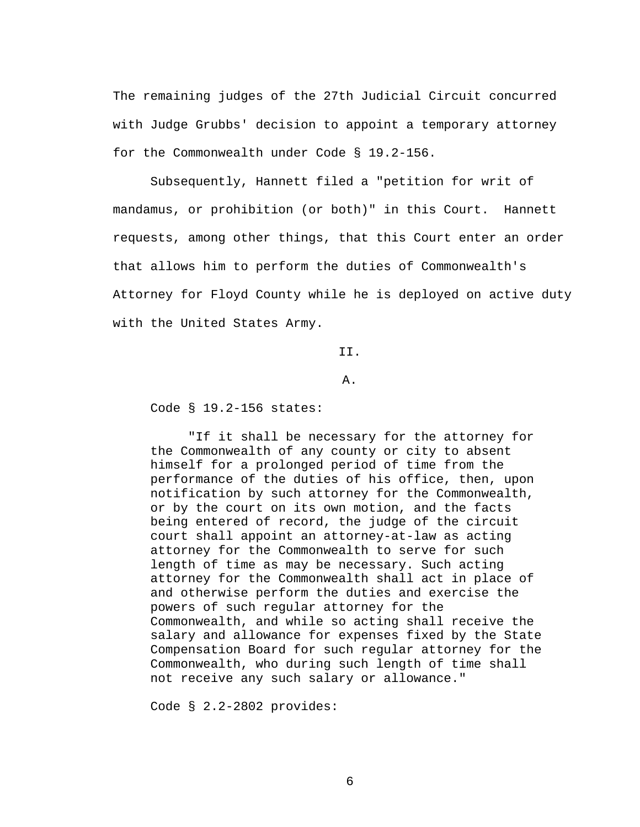The remaining judges of the 27th Judicial Circuit concurred with Judge Grubbs' decision to appoint a temporary attorney for the Commonwealth under Code § 19.2-156.

 Subsequently, Hannett filed a "petition for writ of mandamus, or prohibition (or both)" in this Court. Hannett requests, among other things, that this Court enter an order that allows him to perform the duties of Commonwealth's Attorney for Floyd County while he is deployed on active duty with the United States Army.

II.

### A.

Code § 19.2-156 states:

"If it shall be necessary for the attorney for the Commonwealth of any county or city to absent himself for a prolonged period of time from the performance of the duties of his office, then, upon notification by such attorney for the Commonwealth, or by the court on its own motion, and the facts being entered of record, the judge of the circuit court shall appoint an attorney-at-law as acting attorney for the Commonwealth to serve for such length of time as may be necessary. Such acting attorney for the Commonwealth shall act in place of and otherwise perform the duties and exercise the powers of such regular attorney for the Commonwealth, and while so acting shall receive the salary and allowance for expenses fixed by the State Compensation Board for such regular attorney for the Commonwealth, who during such length of time shall not receive any such salary or allowance."

Code § 2.2-2802 provides: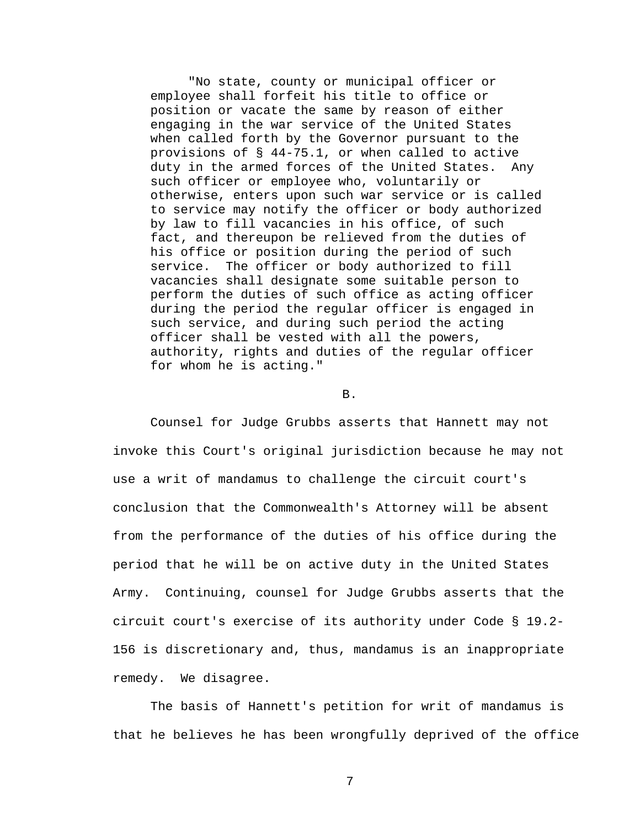"No state, county or municipal officer or employee shall forfeit his title to office or position or vacate the same by reason of either engaging in the war service of the United States when called forth by the Governor pursuant to the provisions of § 44-75.1, or when called to active duty in the armed forces of the United States. Any such officer or employee who, voluntarily or otherwise, enters upon such war service or is called to service may notify the officer or body authorized by law to fill vacancies in his office, of such fact, and thereupon be relieved from the duties of his office or position during the period of such service. The officer or body authorized to fill vacancies shall designate some suitable person to perform the duties of such office as acting officer during the period the regular officer is engaged in such service, and during such period the acting officer shall be vested with all the powers, authority, rights and duties of the regular officer for whom he is acting."

#### B.

 Counsel for Judge Grubbs asserts that Hannett may not invoke this Court's original jurisdiction because he may not use a writ of mandamus to challenge the circuit court's conclusion that the Commonwealth's Attorney will be absent from the performance of the duties of his office during the period that he will be on active duty in the United States Army. Continuing, counsel for Judge Grubbs asserts that the circuit court's exercise of its authority under Code § 19.2- 156 is discretionary and, thus, mandamus is an inappropriate remedy. We disagree.

 The basis of Hannett's petition for writ of mandamus is that he believes he has been wrongfully deprived of the office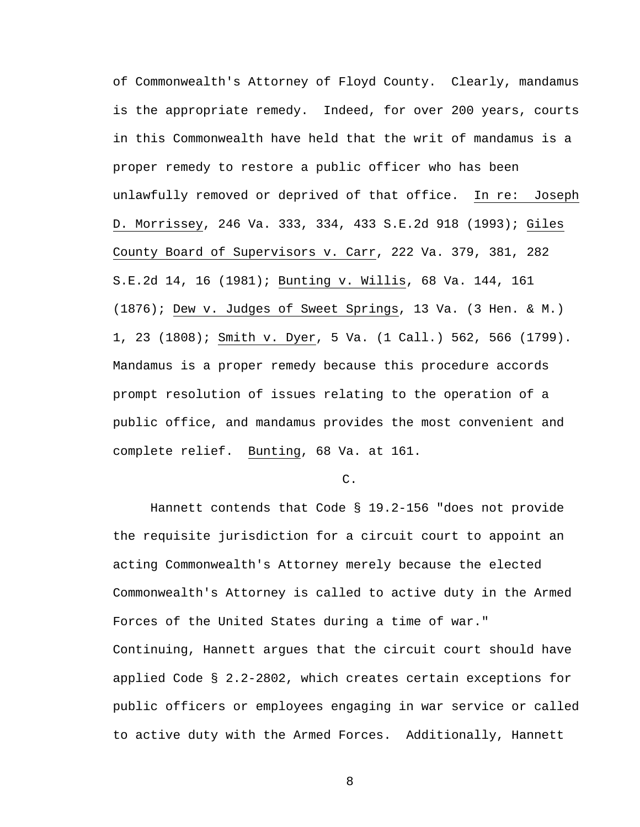of Commonwealth's Attorney of Floyd County. Clearly, mandamus is the appropriate remedy. Indeed, for over 200 years, courts in this Commonwealth have held that the writ of mandamus is a proper remedy to restore a public officer who has been unlawfully removed or deprived of that office. In re: Joseph D. Morrissey, 246 Va. 333, 334, 433 S.E.2d 918 (1993); Giles County Board of Supervisors v. Carr, 222 Va. 379, 381, 282 S.E.2d 14, 16 (1981); Bunting v. Willis, 68 Va. 144, 161 (1876); Dew v. Judges of Sweet Springs, 13 Va. (3 Hen. & M.) 1, 23 (1808); Smith v. Dyer, 5 Va. (1 Call.) 562, 566 (1799). Mandamus is a proper remedy because this procedure accords prompt resolution of issues relating to the operation of a public office, and mandamus provides the most convenient and complete relief. Bunting, 68 Va. at 161.

#### $C<sub>1</sub>$

 Hannett contends that Code § 19.2-156 "does not provide the requisite jurisdiction for a circuit court to appoint an acting Commonwealth's Attorney merely because the elected Commonwealth's Attorney is called to active duty in the Armed Forces of the United States during a time of war." Continuing, Hannett argues that the circuit court should have applied Code § 2.2-2802, which creates certain exceptions for public officers or employees engaging in war service or called to active duty with the Armed Forces. Additionally, Hannett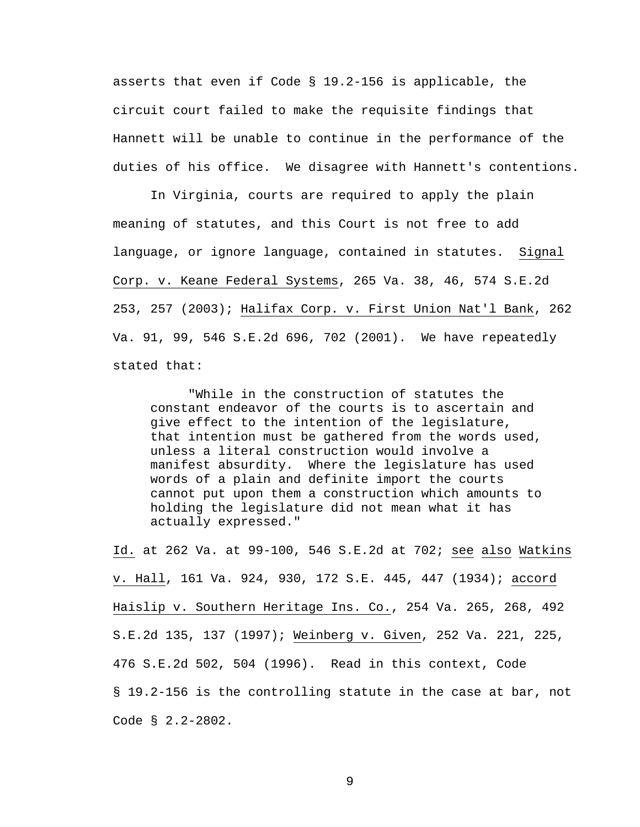asserts that even if Code § 19.2-156 is applicable, the circuit court failed to make the requisite findings that Hannett will be unable to continue in the performance of the duties of his office. We disagree with Hannett's contentions.

 In Virginia, courts are required to apply the plain meaning of statutes, and this Court is not free to add language, or ignore language, contained in statutes. Signal Corp. v. Keane Federal Systems, 265 Va. 38, 46, 574 S.E.2d 253, 257 (2003); Halifax Corp. v. First Union Nat'l Bank, 262 Va. 91, 99, 546 S.E.2d 696, 702 (2001). We have repeatedly stated that:

"While in the construction of statutes the constant endeavor of the courts is to ascertain and give effect to the intention of the legislature, that intention must be gathered from the words used, unless a literal construction would involve a manifest absurdity. Where the legislature has used words of a plain and definite import the courts cannot put upon them a construction which amounts to holding the legislature did not mean what it has actually expressed."

Id. at 262 Va. at 99-100, 546 S.E.2d at 702; see also Watkins v. Hall, 161 Va. 924, 930, 172 S.E. 445, 447 (1934); accord Haislip v. Southern Heritage Ins. Co., 254 Va. 265, 268, 492 S.E.2d 135, 137 (1997); Weinberg v. Given, 252 Va. 221, 225, 476 S.E.2d 502, 504 (1996). Read in this context, Code § 19.2-156 is the controlling statute in the case at bar, not Code § 2.2-2802.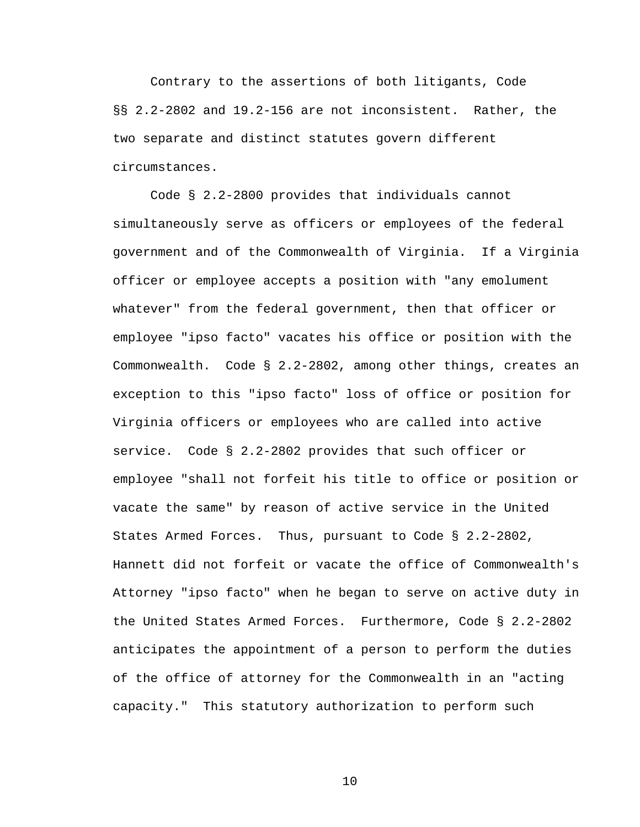Contrary to the assertions of both litigants, Code §§ 2.2-2802 and 19.2-156 are not inconsistent. Rather, the two separate and distinct statutes govern different circumstances.

Code § 2.2-2800 provides that individuals cannot simultaneously serve as officers or employees of the federal government and of the Commonwealth of Virginia. If a Virginia officer or employee accepts a position with "any emolument whatever" from the federal government, then that officer or employee "ipso facto" vacates his office or position with the Commonwealth. Code § 2.2-2802, among other things, creates an exception to this "ipso facto" loss of office or position for Virginia officers or employees who are called into active service. Code § 2.2-2802 provides that such officer or employee "shall not forfeit his title to office or position or vacate the same" by reason of active service in the United States Armed Forces. Thus, pursuant to Code § 2.2-2802, Hannett did not forfeit or vacate the office of Commonwealth's Attorney "ipso facto" when he began to serve on active duty in the United States Armed Forces. Furthermore, Code § 2.2-2802 anticipates the appointment of a person to perform the duties of the office of attorney for the Commonwealth in an "acting capacity." This statutory authorization to perform such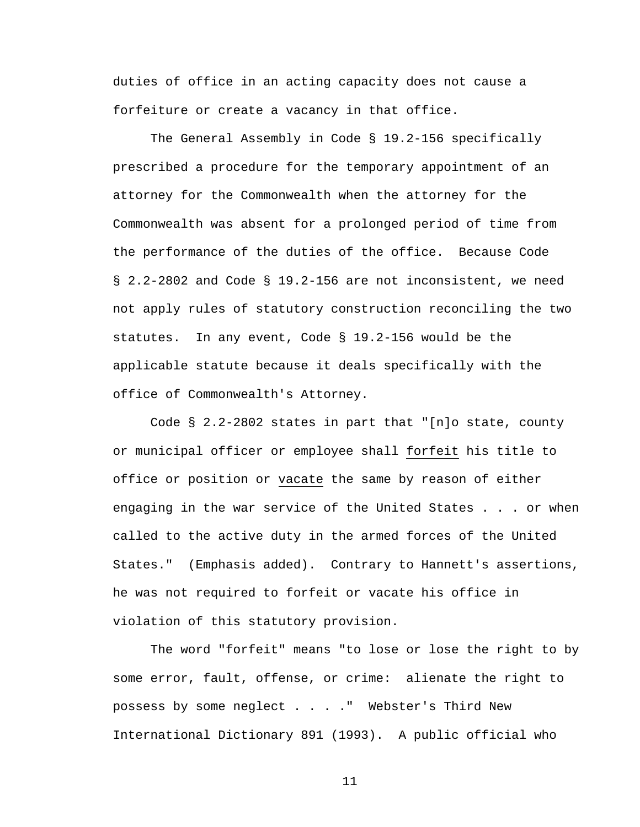duties of office in an acting capacity does not cause a forfeiture or create a vacancy in that office.

The General Assembly in Code § 19.2-156 specifically prescribed a procedure for the temporary appointment of an attorney for the Commonwealth when the attorney for the Commonwealth was absent for a prolonged period of time from the performance of the duties of the office. Because Code § 2.2-2802 and Code § 19.2-156 are not inconsistent, we need not apply rules of statutory construction reconciling the two statutes. In any event, Code § 19.2-156 would be the applicable statute because it deals specifically with the office of Commonwealth's Attorney.

Code § 2.2-2802 states in part that "[n]o state, county or municipal officer or employee shall forfeit his title to office or position or vacate the same by reason of either engaging in the war service of the United States . . . or when called to the active duty in the armed forces of the United States." (Emphasis added). Contrary to Hannett's assertions, he was not required to forfeit or vacate his office in violation of this statutory provision.

The word "forfeit" means "to lose or lose the right to by some error, fault, offense, or crime: alienate the right to possess by some neglect . . . ." Webster's Third New International Dictionary 891 (1993). A public official who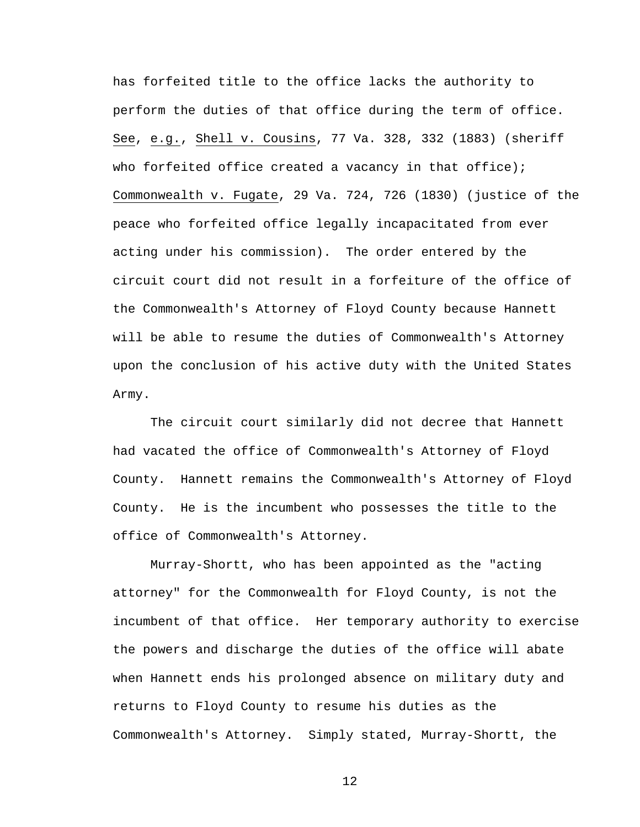has forfeited title to the office lacks the authority to perform the duties of that office during the term of office. See, e.g., Shell v. Cousins, 77 Va. 328, 332 (1883) (sheriff who forfeited office created a vacancy in that office); Commonwealth v. Fugate, 29 Va. 724, 726 (1830) (justice of the peace who forfeited office legally incapacitated from ever acting under his commission). The order entered by the circuit court did not result in a forfeiture of the office of the Commonwealth's Attorney of Floyd County because Hannett will be able to resume the duties of Commonwealth's Attorney upon the conclusion of his active duty with the United States Army.

The circuit court similarly did not decree that Hannett had vacated the office of Commonwealth's Attorney of Floyd County. Hannett remains the Commonwealth's Attorney of Floyd County. He is the incumbent who possesses the title to the office of Commonwealth's Attorney.

Murray-Shortt, who has been appointed as the "acting attorney" for the Commonwealth for Floyd County, is not the incumbent of that office. Her temporary authority to exercise the powers and discharge the duties of the office will abate when Hannett ends his prolonged absence on military duty and returns to Floyd County to resume his duties as the Commonwealth's Attorney. Simply stated, Murray-Shortt, the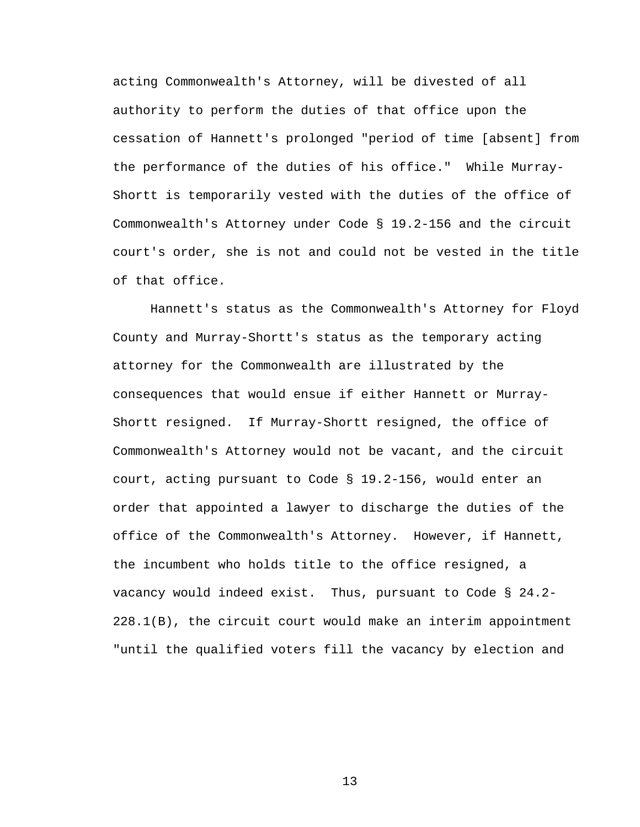acting Commonwealth's Attorney, will be divested of all authority to perform the duties of that office upon the cessation of Hannett's prolonged "period of time [absent] from the performance of the duties of his office." While Murray-Shortt is temporarily vested with the duties of the office of Commonwealth's Attorney under Code § 19.2-156 and the circuit court's order, she is not and could not be vested in the title of that office.

Hannett's status as the Commonwealth's Attorney for Floyd County and Murray-Shortt's status as the temporary acting attorney for the Commonwealth are illustrated by the consequences that would ensue if either Hannett or Murray-Shortt resigned. If Murray-Shortt resigned, the office of Commonwealth's Attorney would not be vacant, and the circuit court, acting pursuant to Code § 19.2-156, would enter an order that appointed a lawyer to discharge the duties of the office of the Commonwealth's Attorney. However, if Hannett, the incumbent who holds title to the office resigned, a vacancy would indeed exist. Thus, pursuant to Code § 24.2- 228.1(B), the circuit court would make an interim appointment "until the qualified voters fill the vacancy by election and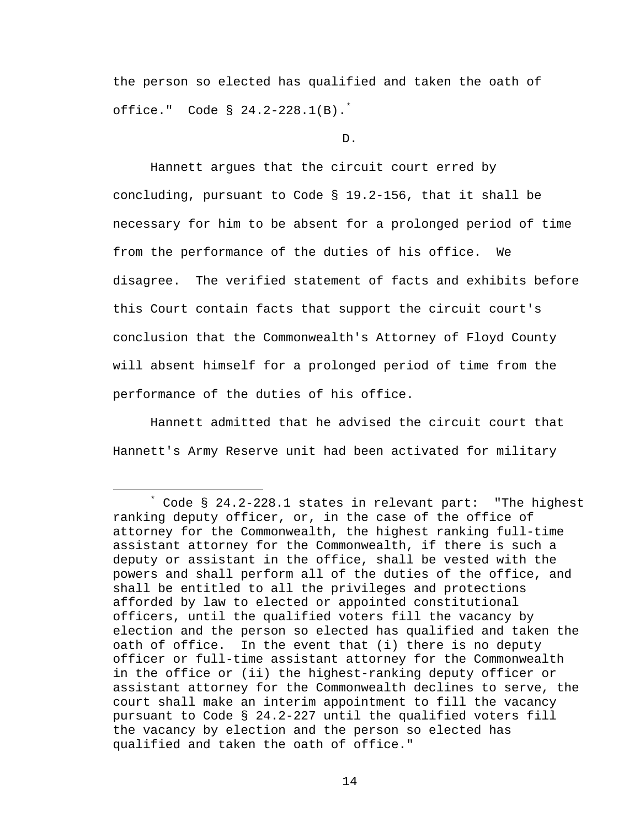the person so elected has qualified and taken the oath of office." Code § 24.2-228.1(B).\*

D.

 Hannett argues that the circuit court erred by concluding, pursuant to Code § 19.2-156, that it shall be necessary for him to be absent for a prolonged period of time from the performance of the duties of his office. We disagree. The verified statement of facts and exhibits before this Court contain facts that support the circuit court's conclusion that the Commonwealth's Attorney of Floyd County will absent himself for a prolonged period of time from the performance of the duties of his office.

Hannett admitted that he advised the circuit court that Hannett's Army Reserve unit had been activated for military

 $\overline{\phantom{a}}$  Code § 24.2-228.1 states in relevant part: "The highest ranking deputy officer, or, in the case of the office of attorney for the Commonwealth, the highest ranking full-time assistant attorney for the Commonwealth, if there is such a deputy or assistant in the office, shall be vested with the powers and shall perform all of the duties of the office, and shall be entitled to all the privileges and protections afforded by law to elected or appointed constitutional officers, until the qualified voters fill the vacancy by election and the person so elected has qualified and taken the oath of office. In the event that (i) there is no deputy officer or full-time assistant attorney for the Commonwealth in the office or (ii) the highest-ranking deputy officer or assistant attorney for the Commonwealth declines to serve, the court shall make an interim appointment to fill the vacancy pursuant to Code § 24.2-227 until the qualified voters fill the vacancy by election and the person so elected has qualified and taken the oath of office."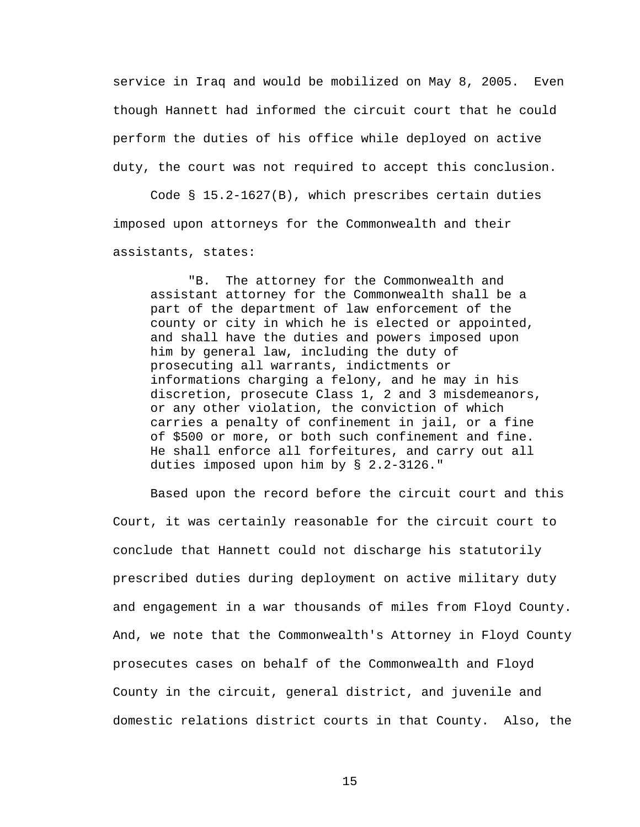service in Iraq and would be mobilized on May 8, 2005. Even though Hannett had informed the circuit court that he could perform the duties of his office while deployed on active duty, the court was not required to accept this conclusion.

Code § 15.2-1627(B), which prescribes certain duties imposed upon attorneys for the Commonwealth and their assistants, states:

"B. The attorney for the Commonwealth and assistant attorney for the Commonwealth shall be a part of the department of law enforcement of the county or city in which he is elected or appointed, and shall have the duties and powers imposed upon him by general law, including the duty of prosecuting all warrants, indictments or informations charging a felony, and he may in his discretion, prosecute Class 1, 2 and 3 misdemeanors, or any other violation, the conviction of which carries a penalty of confinement in jail, or a fine of \$500 or more, or both such confinement and fine. He shall enforce all forfeitures, and carry out all duties imposed upon him by § 2.2-3126."

 Based upon the record before the circuit court and this Court, it was certainly reasonable for the circuit court to conclude that Hannett could not discharge his statutorily prescribed duties during deployment on active military duty and engagement in a war thousands of miles from Floyd County. And, we note that the Commonwealth's Attorney in Floyd County prosecutes cases on behalf of the Commonwealth and Floyd County in the circuit, general district, and juvenile and domestic relations district courts in that County. Also, the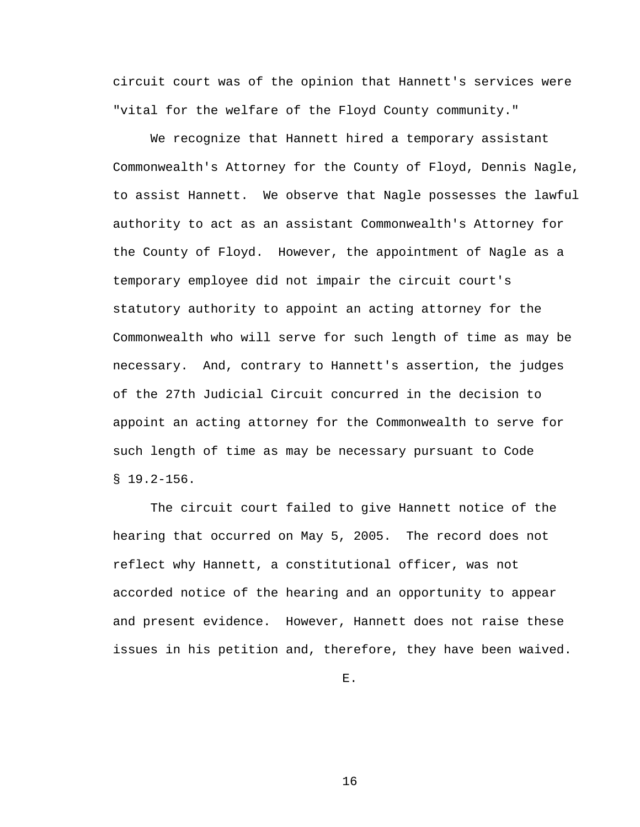circuit court was of the opinion that Hannett's services were "vital for the welfare of the Floyd County community."

 We recognize that Hannett hired a temporary assistant Commonwealth's Attorney for the County of Floyd, Dennis Nagle, to assist Hannett. We observe that Nagle possesses the lawful authority to act as an assistant Commonwealth's Attorney for the County of Floyd. However, the appointment of Nagle as a temporary employee did not impair the circuit court's statutory authority to appoint an acting attorney for the Commonwealth who will serve for such length of time as may be necessary. And, contrary to Hannett's assertion, the judges of the 27th Judicial Circuit concurred in the decision to appoint an acting attorney for the Commonwealth to serve for such length of time as may be necessary pursuant to Code  $$19.2-156.$ 

 The circuit court failed to give Hannett notice of the hearing that occurred on May 5, 2005. The record does not reflect why Hannett, a constitutional officer, was not accorded notice of the hearing and an opportunity to appear and present evidence. However, Hannett does not raise these issues in his petition and, therefore, they have been waived.

E.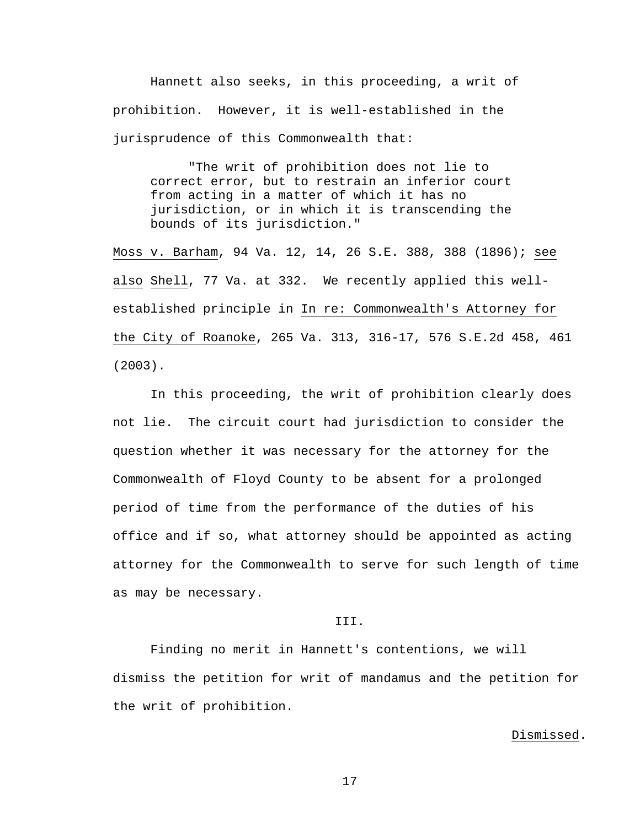Hannett also seeks, in this proceeding, a writ of prohibition. However, it is well-established in the jurisprudence of this Commonwealth that:

 "The writ of prohibition does not lie to correct error, but to restrain an inferior court from acting in a matter of which it has no jurisdiction, or in which it is transcending the bounds of its jurisdiction."

Moss v. Barham, 94 Va. 12, 14, 26 S.E. 388, 388 (1896); see also Shell, 77 Va. at 332. We recently applied this wellestablished principle in In re: Commonwealth's Attorney for the City of Roanoke, 265 Va. 313, 316-17, 576 S.E.2d 458, 461 (2003).

 In this proceeding, the writ of prohibition clearly does not lie. The circuit court had jurisdiction to consider the question whether it was necessary for the attorney for the Commonwealth of Floyd County to be absent for a prolonged period of time from the performance of the duties of his office and if so, what attorney should be appointed as acting attorney for the Commonwealth to serve for such length of time as may be necessary.

### III.

 Finding no merit in Hannett's contentions, we will dismiss the petition for writ of mandamus and the petition for the writ of prohibition.

### Dismissed.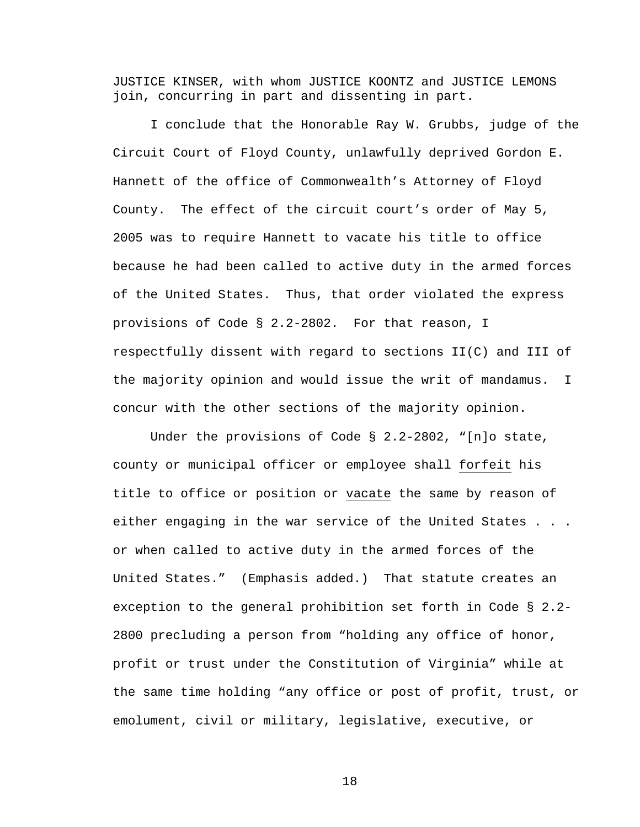JUSTICE KINSER, with whom JUSTICE KOONTZ and JUSTICE LEMONS join, concurring in part and dissenting in part.

 I conclude that the Honorable Ray W. Grubbs, judge of the Circuit Court of Floyd County, unlawfully deprived Gordon E. Hannett of the office of Commonwealth's Attorney of Floyd County. The effect of the circuit court's order of May 5, 2005 was to require Hannett to vacate his title to office because he had been called to active duty in the armed forces of the United States. Thus, that order violated the express provisions of Code § 2.2-2802. For that reason, I respectfully dissent with regard to sections II(C) and III of the majority opinion and would issue the writ of mandamus. I concur with the other sections of the majority opinion.

Under the provisions of Code  $\S$  2.2-2802, "[n]o state, county or municipal officer or employee shall forfeit his title to office or position or vacate the same by reason of either engaging in the war service of the United States . . . or when called to active duty in the armed forces of the United States." (Emphasis added.) That statute creates an exception to the general prohibition set forth in Code § 2.2- 2800 precluding a person from "holding any office of honor, profit or trust under the Constitution of Virginia" while at the same time holding "any office or post of profit, trust, or emolument, civil or military, legislative, executive, or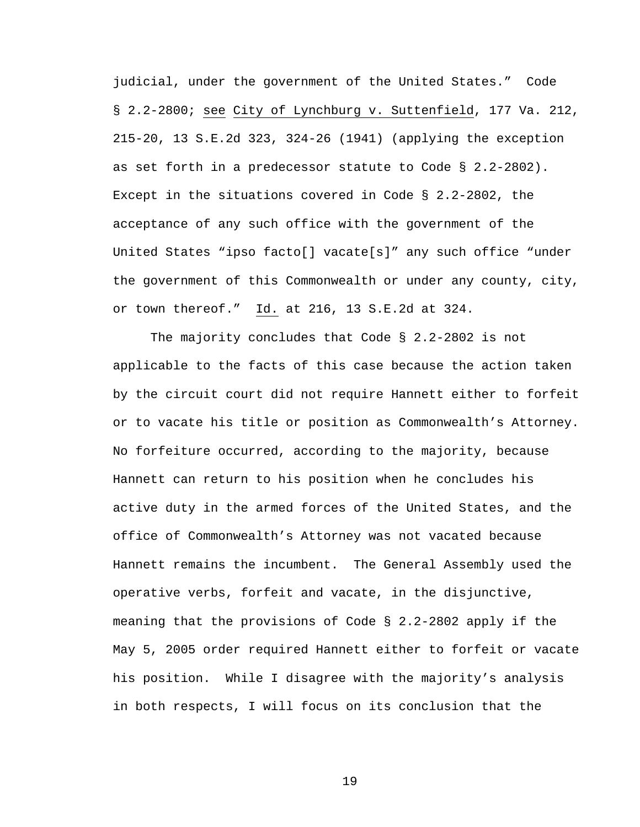judicial, under the government of the United States." Code § 2.2-2800; see City of Lynchburg v. Suttenfield, 177 Va. 212, 215-20, 13 S.E.2d 323, 324-26 (1941) (applying the exception as set forth in a predecessor statute to Code § 2.2-2802). Except in the situations covered in Code § 2.2-2802, the acceptance of any such office with the government of the United States "ipso facto[] vacate[s]" any such office "under the government of this Commonwealth or under any county, city, or town thereof." Id. at 216, 13 S.E.2d at 324.

 The majority concludes that Code § 2.2-2802 is not applicable to the facts of this case because the action taken by the circuit court did not require Hannett either to forfeit or to vacate his title or position as Commonwealth's Attorney. No forfeiture occurred, according to the majority, because Hannett can return to his position when he concludes his active duty in the armed forces of the United States, and the office of Commonwealth's Attorney was not vacated because Hannett remains the incumbent. The General Assembly used the operative verbs, forfeit and vacate, in the disjunctive, meaning that the provisions of Code § 2.2-2802 apply if the May 5, 2005 order required Hannett either to forfeit or vacate his position. While I disagree with the majority's analysis in both respects, I will focus on its conclusion that the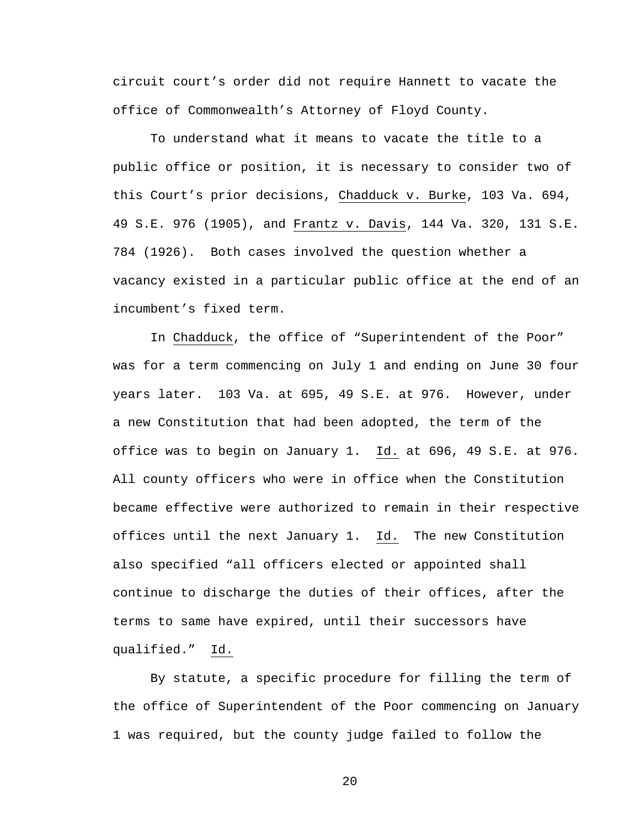circuit court's order did not require Hannett to vacate the office of Commonwealth's Attorney of Floyd County.

To understand what it means to vacate the title to a public office or position, it is necessary to consider two of this Court's prior decisions, Chadduck v. Burke, 103 Va. 694, 49 S.E. 976 (1905), and Frantz v. Davis, 144 Va. 320, 131 S.E. 784 (1926). Both cases involved the question whether a vacancy existed in a particular public office at the end of an incumbent's fixed term.

In Chadduck, the office of "Superintendent of the Poor" was for a term commencing on July 1 and ending on June 30 four years later. 103 Va. at 695, 49 S.E. at 976. However, under a new Constitution that had been adopted, the term of the office was to begin on January 1. Id. at 696, 49 S.E. at 976. All county officers who were in office when the Constitution became effective were authorized to remain in their respective offices until the next January 1. Id. The new Constitution also specified "all officers elected or appointed shall continue to discharge the duties of their offices, after the terms to same have expired, until their successors have qualified." Id.

By statute, a specific procedure for filling the term of the office of Superintendent of the Poor commencing on January 1 was required, but the county judge failed to follow the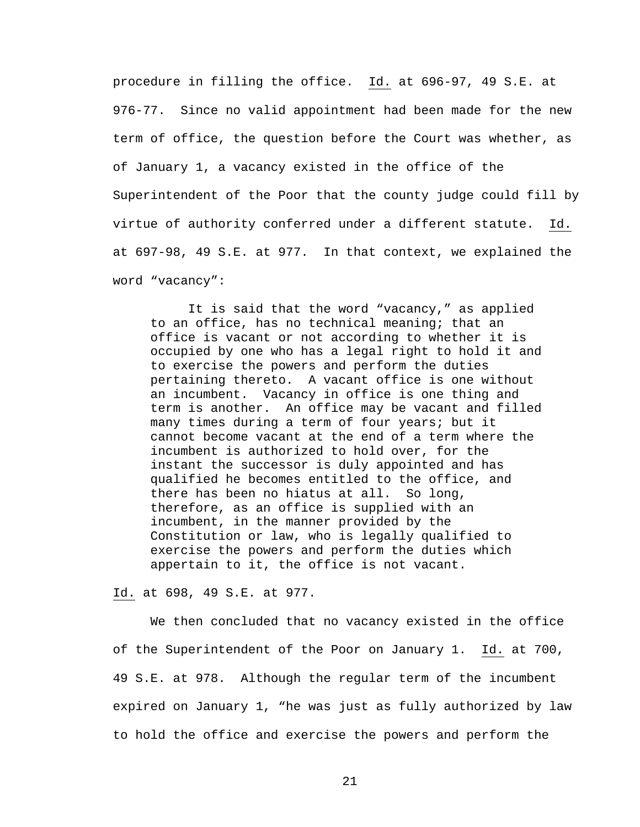procedure in filling the office. Id. at 696-97, 49 S.E. at 976-77. Since no valid appointment had been made for the new term of office, the question before the Court was whether, as of January 1, a vacancy existed in the office of the Superintendent of the Poor that the county judge could fill by virtue of authority conferred under a different statute. Id. at 697-98, 49 S.E. at 977. In that context, we explained the word "vacancy":

It is said that the word "vacancy," as applied to an office, has no technical meaning; that an office is vacant or not according to whether it is occupied by one who has a legal right to hold it and to exercise the powers and perform the duties pertaining thereto. A vacant office is one without an incumbent. Vacancy in office is one thing and term is another. An office may be vacant and filled many times during a term of four years; but it cannot become vacant at the end of a term where the incumbent is authorized to hold over, for the instant the successor is duly appointed and has qualified he becomes entitled to the office, and there has been no hiatus at all. So long, therefore, as an office is supplied with an incumbent, in the manner provided by the Constitution or law, who is legally qualified to exercise the powers and perform the duties which appertain to it, the office is not vacant.

### Id. at 698, 49 S.E. at 977.

We then concluded that no vacancy existed in the office of the Superintendent of the Poor on January 1. Id. at 700, 49 S.E. at 978. Although the regular term of the incumbent expired on January 1, "he was just as fully authorized by law to hold the office and exercise the powers and perform the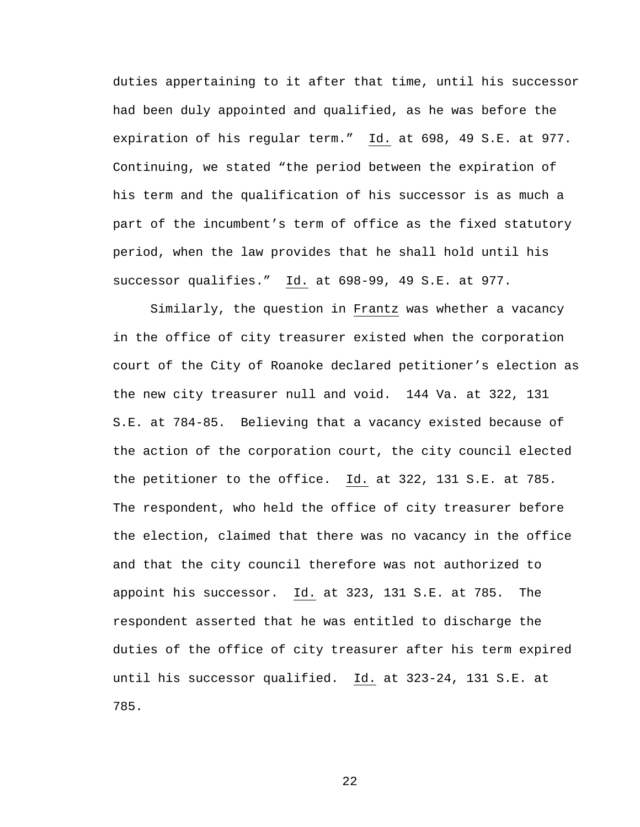duties appertaining to it after that time, until his successor had been duly appointed and qualified, as he was before the expiration of his regular term." Id. at 698, 49 S.E. at 977. Continuing, we stated "the period between the expiration of his term and the qualification of his successor is as much a part of the incumbent's term of office as the fixed statutory period, when the law provides that he shall hold until his successor qualifies." Id. at 698-99, 49 S.E. at 977.

Similarly, the question in Frantz was whether a vacancy in the office of city treasurer existed when the corporation court of the City of Roanoke declared petitioner's election as the new city treasurer null and void. 144 Va. at 322, 131 S.E. at 784-85. Believing that a vacancy existed because of the action of the corporation court, the city council elected the petitioner to the office. Id. at 322, 131 S.E. at 785. The respondent, who held the office of city treasurer before the election, claimed that there was no vacancy in the office and that the city council therefore was not authorized to appoint his successor. Id. at 323, 131 S.E. at 785. The respondent asserted that he was entitled to discharge the duties of the office of city treasurer after his term expired until his successor qualified. Id. at 323-24, 131 S.E. at 785.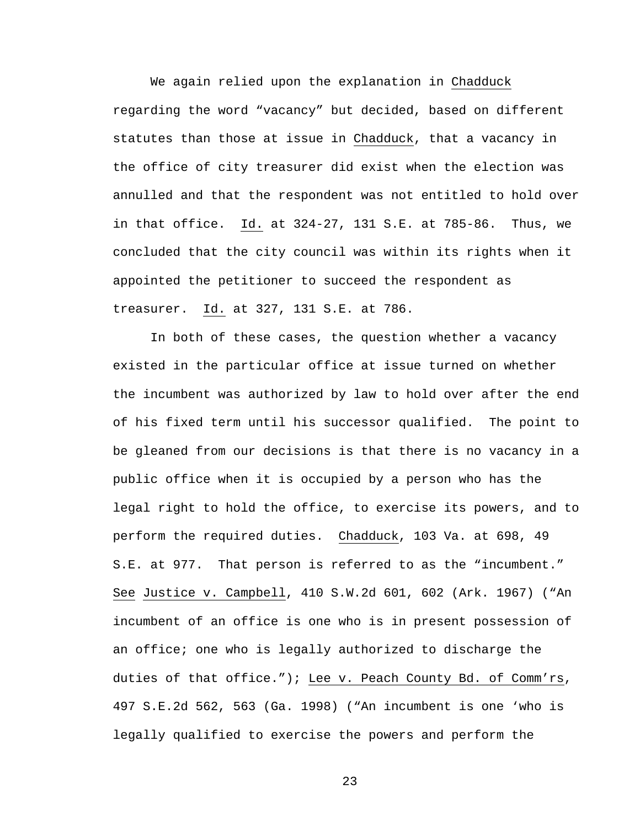We again relied upon the explanation in Chadduck regarding the word "vacancy" but decided, based on different statutes than those at issue in Chadduck, that a vacancy in the office of city treasurer did exist when the election was annulled and that the respondent was not entitled to hold over in that office. Id. at 324-27, 131 S.E. at 785-86. Thus, we concluded that the city council was within its rights when it appointed the petitioner to succeed the respondent as treasurer. Id. at 327, 131 S.E. at 786.

In both of these cases, the question whether a vacancy existed in the particular office at issue turned on whether the incumbent was authorized by law to hold over after the end of his fixed term until his successor qualified. The point to be gleaned from our decisions is that there is no vacancy in a public office when it is occupied by a person who has the legal right to hold the office, to exercise its powers, and to perform the required duties. Chadduck, 103 Va. at 698, 49 S.E. at 977. That person is referred to as the "incumbent." See Justice v. Campbell, 410 S.W.2d 601, 602 (Ark. 1967) ("An incumbent of an office is one who is in present possession of an office; one who is legally authorized to discharge the duties of that office."); Lee v. Peach County Bd. of Comm'rs, 497 S.E.2d 562, 563 (Ga. 1998) ("An incumbent is one 'who is legally qualified to exercise the powers and perform the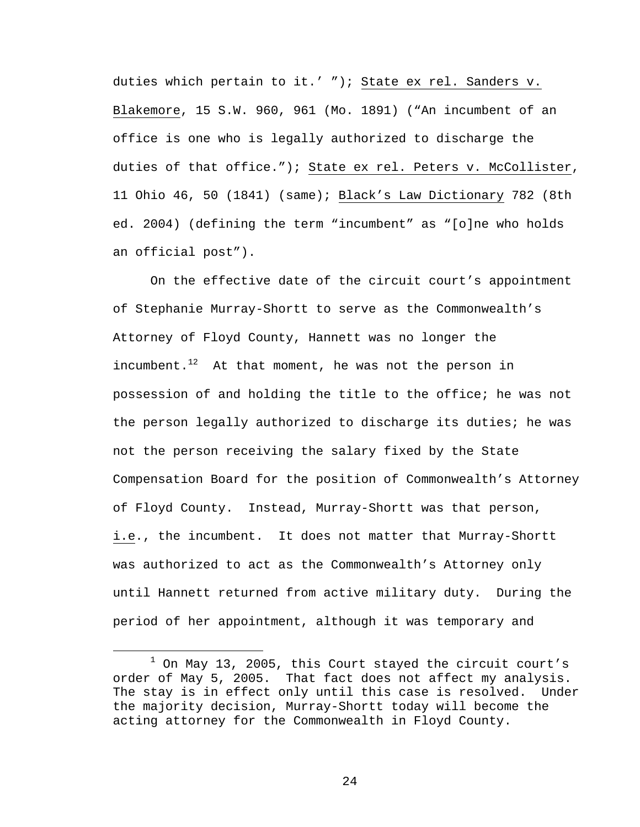duties which pertain to it.' "); State ex rel. Sanders v. Blakemore, 15 S.W. 960, 961 (Mo. 1891) ("An incumbent of an office is one who is legally authorized to discharge the duties of that office."); State ex rel. Peters v. McCollister, 11 Ohio 46, 50 (1841) (same); Black's Law Dictionary 782 (8th ed. 2004) (defining the term "incumbent" as "[o]ne who holds an official post").

On the effective date of the circuit court's appointment of Stephanie Murray-Shortt to serve as the Commonwealth's Attorney of Floyd County, Hannett was no longer the incumbent. $1^2$  At that moment, he was not the person in possession of and holding the title to the office; he was not the person legally authorized to discharge its duties; he was not the person receiving the salary fixed by the State Compensation Board for the position of Commonwealth's Attorney of Floyd County. Instead, Murray-Shortt was that person, i.e., the incumbent. It does not matter that Murray-Shortt was authorized to act as the Commonwealth's Attorney only until Hannett returned from active military duty. During the period of her appointment, although it was temporary and

<sup>&</sup>lt;u>1</u>  $1$  On May 13, 2005, this Court stayed the circuit court's order of May 5, 2005. That fact does not affect my analysis. The stay is in effect only until this case is resolved. Under the majority decision, Murray-Shortt today will become the acting attorney for the Commonwealth in Floyd County.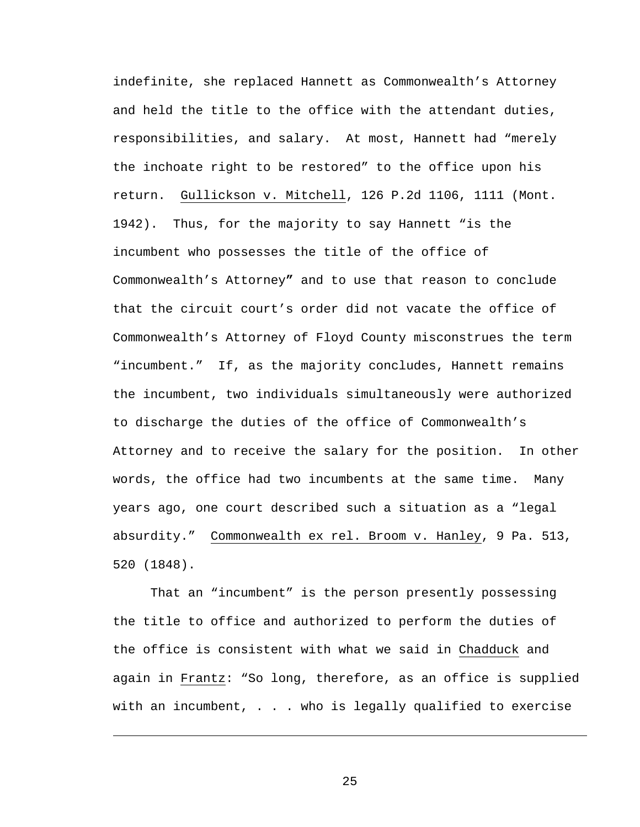indefinite, she replaced Hannett as Commonwealth's Attorney and held the title to the office with the attendant duties, responsibilities, and salary. At most, Hannett had "merely the inchoate right to be restored" to the office upon his return. Gullickson v. Mitchell, 126 P.2d 1106, 1111 (Mont. 1942). Thus, for the majority to say Hannett "is the incumbent who possesses the title of the office of Commonwealth's Attorney**"** and to use that reason to conclude that the circuit court's order did not vacate the office of Commonwealth's Attorney of Floyd County misconstrues the term "incumbent." If, as the majority concludes, Hannett remains the incumbent, two individuals simultaneously were authorized to discharge the duties of the office of Commonwealth's Attorney and to receive the salary for the position. In other words, the office had two incumbents at the same time. Many years ago, one court described such a situation as a "legal absurdity." Commonwealth ex rel. Broom v. Hanley, 9 Pa. 513, 520 (1848).

That an "incumbent" is the person presently possessing the title to office and authorized to perform the duties of the office is consistent with what we said in Chadduck and again in Frantz: "So long, therefore, as an office is supplied with an incumbent, . . . who is legally qualified to exercise

25

i<br>Li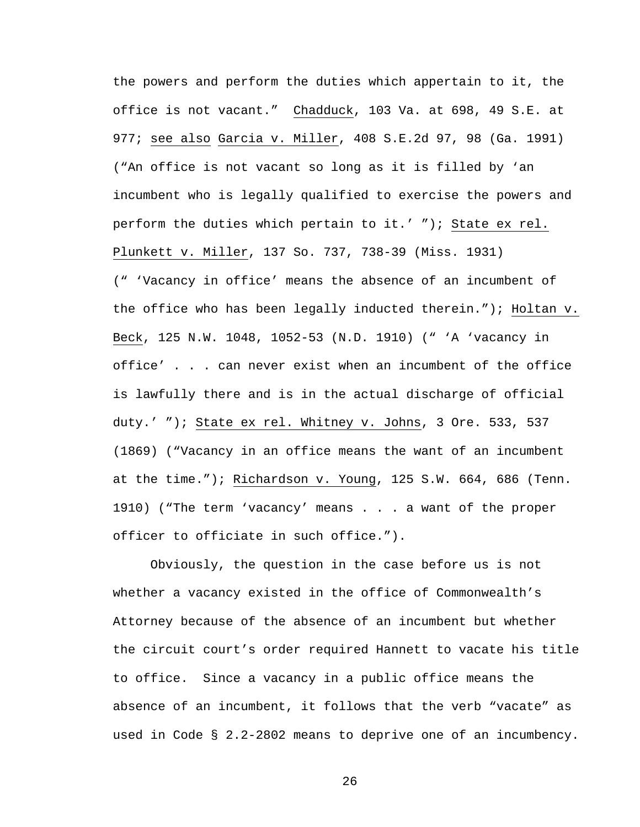the powers and perform the duties which appertain to it, the office is not vacant." Chadduck, 103 Va. at 698, 49 S.E. at 977; see also Garcia v. Miller, 408 S.E.2d 97, 98 (Ga. 1991) ("An office is not vacant so long as it is filled by 'an incumbent who is legally qualified to exercise the powers and perform the duties which pertain to it.' "); State ex rel. Plunkett v. Miller, 137 So. 737, 738-39 (Miss. 1931) (" 'Vacancy in office' means the absence of an incumbent of the office who has been legally inducted therein."); Holtan v. Beck, 125 N.W. 1048, 1052-53 (N.D. 1910) (" 'A 'vacancy in office' . . . can never exist when an incumbent of the office is lawfully there and is in the actual discharge of official duty.' "); State ex rel. Whitney v. Johns, 3 Ore. 533, 537 (1869) ("Vacancy in an office means the want of an incumbent at the time."); Richardson v. Young, 125 S.W. 664, 686 (Tenn. 1910) ("The term 'vacancy' means . . . a want of the proper officer to officiate in such office.").

Obviously, the question in the case before us is not whether a vacancy existed in the office of Commonwealth's Attorney because of the absence of an incumbent but whether the circuit court's order required Hannett to vacate his title to office. Since a vacancy in a public office means the absence of an incumbent, it follows that the verb "vacate" as used in Code § 2.2-2802 means to deprive one of an incumbency.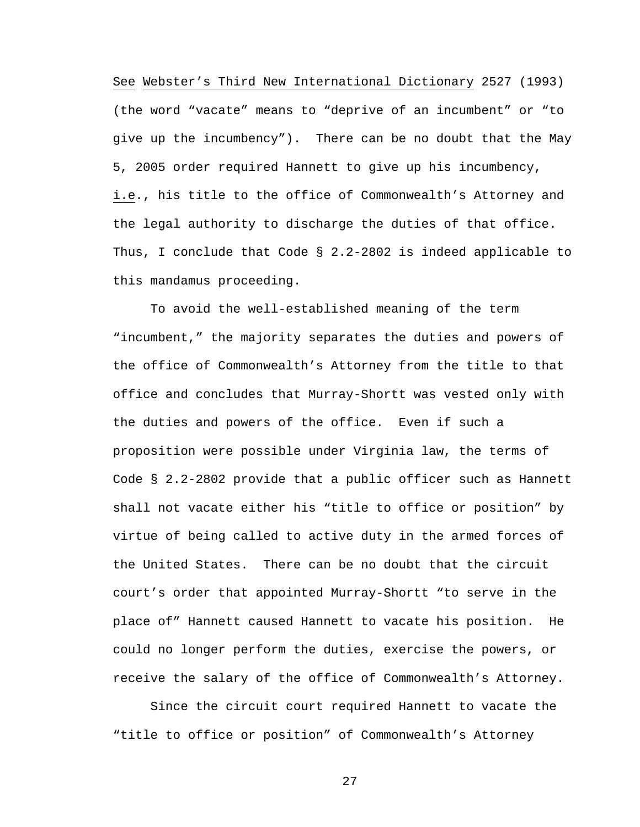See Webster's Third New International Dictionary 2527 (1993) (the word "vacate" means to "deprive of an incumbent" or "to give up the incumbency"). There can be no doubt that the May 5, 2005 order required Hannett to give up his incumbency, i.e., his title to the office of Commonwealth's Attorney and the legal authority to discharge the duties of that office. Thus, I conclude that Code § 2.2-2802 is indeed applicable to this mandamus proceeding.

To avoid the well-established meaning of the term "incumbent," the majority separates the duties and powers of the office of Commonwealth's Attorney from the title to that office and concludes that Murray-Shortt was vested only with the duties and powers of the office. Even if such a proposition were possible under Virginia law, the terms of Code § 2.2-2802 provide that a public officer such as Hannett shall not vacate either his "title to office or position" by virtue of being called to active duty in the armed forces of the United States. There can be no doubt that the circuit court's order that appointed Murray-Shortt "to serve in the place of" Hannett caused Hannett to vacate his position. He could no longer perform the duties, exercise the powers, or receive the salary of the office of Commonwealth's Attorney.

Since the circuit court required Hannett to vacate the "title to office or position" of Commonwealth's Attorney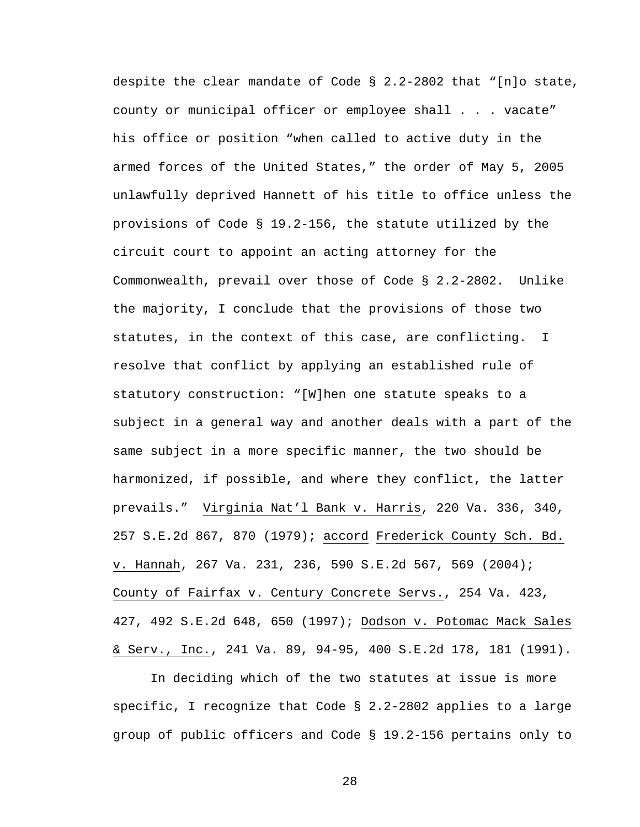despite the clear mandate of Code § 2.2-2802 that "[n]o state, county or municipal officer or employee shall . . . vacate" his office or position "when called to active duty in the armed forces of the United States," the order of May 5, 2005 unlawfully deprived Hannett of his title to office unless the provisions of Code § 19.2-156, the statute utilized by the circuit court to appoint an acting attorney for the Commonwealth, prevail over those of Code § 2.2-2802. Unlike the majority, I conclude that the provisions of those two statutes, in the context of this case, are conflicting. I resolve that conflict by applying an established rule of statutory construction: "[W]hen one statute speaks to a subject in a general way and another deals with a part of the same subject in a more specific manner, the two should be harmonized, if possible, and where they conflict, the latter prevails." Virginia Nat'l Bank v. Harris, 220 Va. 336, 340, 257 S.E.2d 867, 870 (1979); accord Frederick County Sch. Bd. v. Hannah, 267 Va. 231, 236, 590 S.E.2d 567, 569 (2004); County of Fairfax v. Century Concrete Servs., 254 Va. 423, 427, 492 S.E.2d 648, 650 (1997); Dodson v. Potomac Mack Sales & Serv., Inc., 241 Va. 89, 94-95, 400 S.E.2d 178, 181 (1991).

In deciding which of the two statutes at issue is more specific, I recognize that Code § 2.2-2802 applies to a large group of public officers and Code § 19.2-156 pertains only to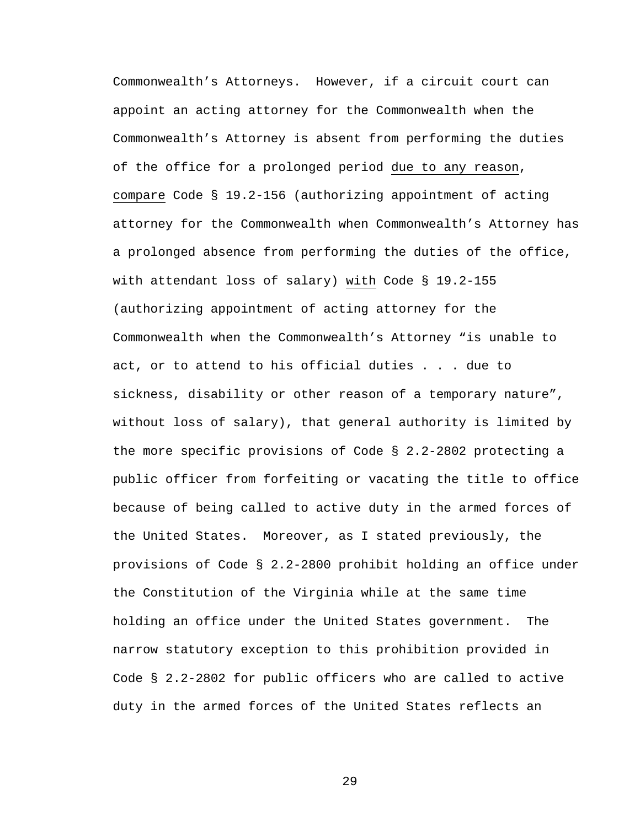Commonwealth's Attorneys. However, if a circuit court can appoint an acting attorney for the Commonwealth when the Commonwealth's Attorney is absent from performing the duties of the office for a prolonged period due to any reason, compare Code § 19.2-156 (authorizing appointment of acting attorney for the Commonwealth when Commonwealth's Attorney has a prolonged absence from performing the duties of the office, with attendant loss of salary) with Code § 19.2-155 (authorizing appointment of acting attorney for the Commonwealth when the Commonwealth's Attorney "is unable to act, or to attend to his official duties . . . due to sickness, disability or other reason of a temporary nature", without loss of salary), that general authority is limited by the more specific provisions of Code § 2.2-2802 protecting a public officer from forfeiting or vacating the title to office because of being called to active duty in the armed forces of the United States. Moreover, as I stated previously, the provisions of Code § 2.2-2800 prohibit holding an office under the Constitution of the Virginia while at the same time holding an office under the United States government. The narrow statutory exception to this prohibition provided in Code § 2.2-2802 for public officers who are called to active duty in the armed forces of the United States reflects an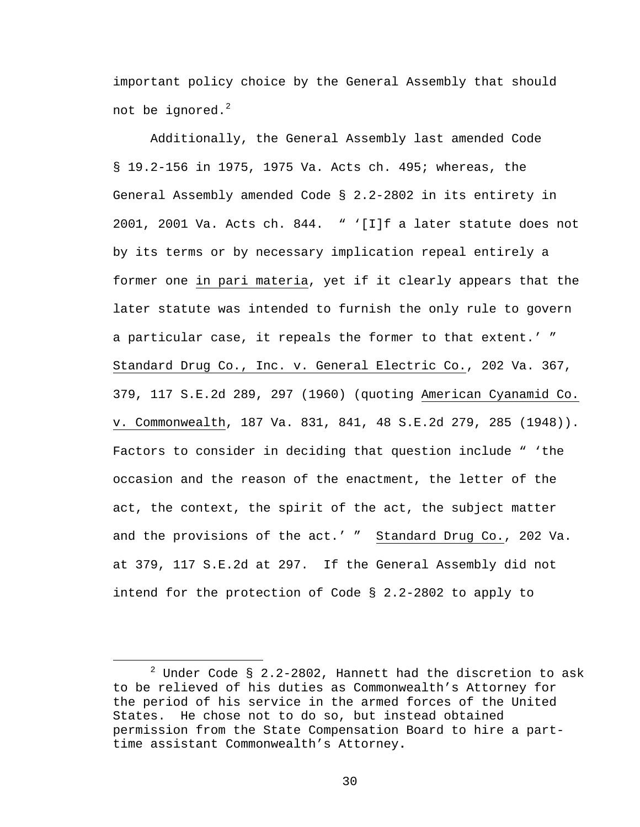important policy choice by the General Assembly that should not be ignored. $2$ 

Additionally, the General Assembly last amended Code § 19.2-156 in 1975, 1975 Va. Acts ch. 495; whereas, the General Assembly amended Code § 2.2-2802 in its entirety in 2001, 2001 Va. Acts ch. 844. " '[I]f a later statute does not by its terms or by necessary implication repeal entirely a former one in pari materia, yet if it clearly appears that the later statute was intended to furnish the only rule to govern a particular case, it repeals the former to that extent.' " Standard Drug Co., Inc. v. General Electric Co., 202 Va. 367, 379, 117 S.E.2d 289, 297 (1960) (quoting American Cyanamid Co. v. Commonwealth, 187 Va. 831, 841, 48 S.E.2d 279, 285 (1948)). Factors to consider in deciding that question include " 'the occasion and the reason of the enactment, the letter of the act, the context, the spirit of the act, the subject matter and the provisions of the act.' " Standard Drug Co., 202 Va. at 379, 117 S.E.2d at 297. If the General Assembly did not intend for the protection of Code § 2.2-2802 to apply to

 $\begin{array}{c|c}\n\hline\n\end{array}$  $2$  Under Code § 2.2-2802, Hannett had the discretion to ask to be relieved of his duties as Commonwealth's Attorney for the period of his service in the armed forces of the United States. He chose not to do so, but instead obtained permission from the State Compensation Board to hire a parttime assistant Commonwealth's Attorney**.**